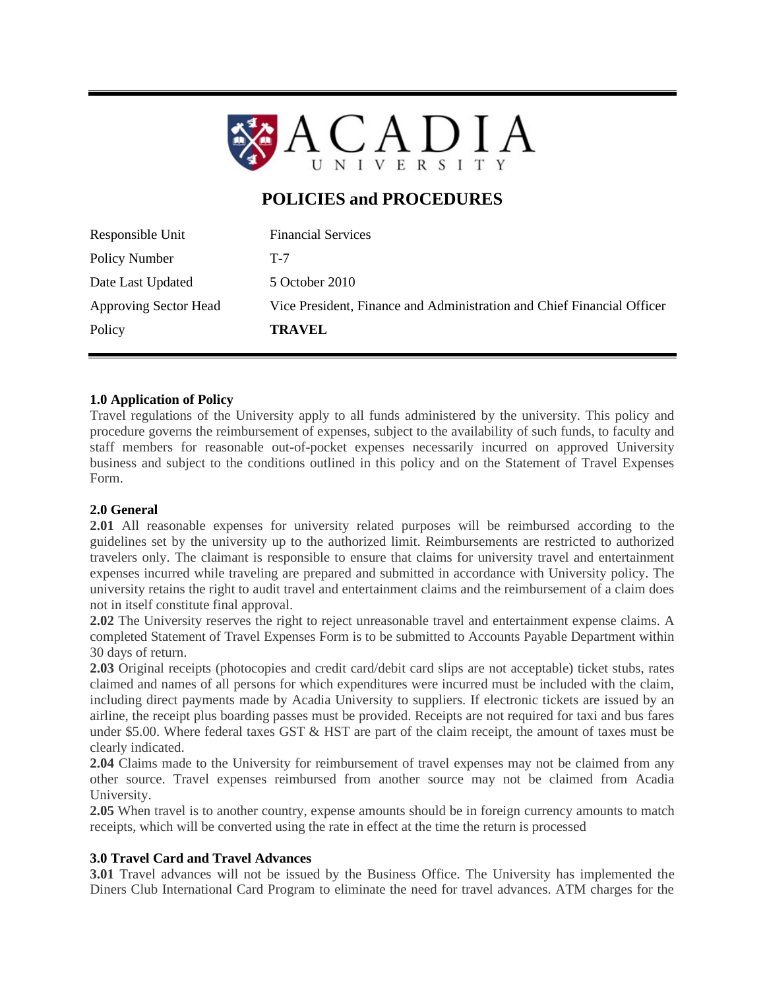

# **POLICIES and PROCEDURES**

| Policy                       | <b>TRAVEL</b>                                                          |
|------------------------------|------------------------------------------------------------------------|
| <b>Approving Sector Head</b> | Vice President, Finance and Administration and Chief Financial Officer |
| Date Last Updated            | 5 October 2010                                                         |
| Policy Number                | $T-7$                                                                  |
| Responsible Unit             | <b>Financial Services</b>                                              |

### **1.0 Application of Policy**

Travel regulations of the University apply to all funds administered by the university. This policy and procedure governs the reimbursement of expenses, subject to the availability of such funds, to faculty and staff members for reasonable out-of-pocket expenses necessarily incurred on approved University business and subject to the conditions outlined in this policy and on the Statement of Travel Expenses Form.

#### **2.0 General**

**2.01** All reasonable expenses for university related purposes will be reimbursed according to the guidelines set by the university up to the authorized limit. Reimbursements are restricted to authorized travelers only. The claimant is responsible to ensure that claims for university travel and entertainment expenses incurred while traveling are prepared and submitted in accordance with University policy. The university retains the right to audit travel and entertainment claims and the reimbursement of a claim does not in itself constitute final approval.

**2.02** The University reserves the right to reject unreasonable travel and entertainment expense claims. A completed Statement of Travel Expenses Form is to be submitted to Accounts Payable Department within 30 days of return.

**2.03** Original receipts (photocopies and credit card/debit card slips are not acceptable) ticket stubs, rates claimed and names of all persons for which expenditures were incurred must be included with the claim, including direct payments made by Acadia University to suppliers. If electronic tickets are issued by an airline, the receipt plus boarding passes must be provided. Receipts are not required for taxi and bus fares under \$5.00. Where federal taxes GST & HST are part of the claim receipt, the amount of taxes must be clearly indicated.

**2.04** Claims made to the University for reimbursement of travel expenses may not be claimed from any other source. Travel expenses reimbursed from another source may not be claimed from Acadia University.

**2.05** When travel is to another country, expense amounts should be in foreign currency amounts to match receipts, which will be converted using the rate in effect at the time the return is processed

## **3.0 Travel Card and Travel Advances**

**3.01** Travel advances will not be issued by the Business Office. The University has implemented the Diners Club International Card Program to eliminate the need for travel advances. ATM charges for the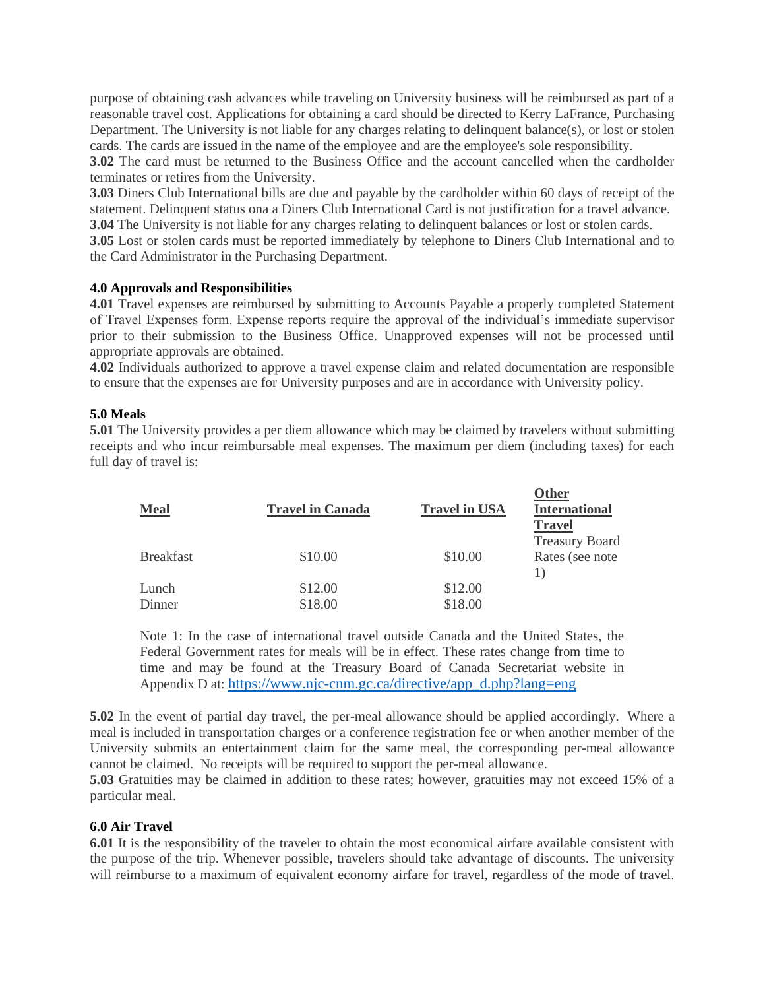purpose of obtaining cash advances while traveling on University business will be reimbursed as part of a reasonable travel cost. Applications for obtaining a card should be directed to Kerry LaFrance, Purchasing Department. The University is not liable for any charges relating to delinquent balance(s), or lost or stolen cards. The cards are issued in the name of the employee and are the employee's sole responsibility.

**3.02** The card must be returned to the Business Office and the account cancelled when the cardholder terminates or retires from the University.

**3.03** Diners Club International bills are due and payable by the cardholder within 60 days of receipt of the statement. Delinquent status ona a Diners Club International Card is not justification for a travel advance. **3.04** The University is not liable for any charges relating to delinquent balances or lost or stolen cards.

**3.05** Lost or stolen cards must be reported immediately by telephone to Diners Club International and to the Card Administrator in the Purchasing Department.

#### **4.0 Approvals and Responsibilities**

**4.01** Travel expenses are reimbursed by submitting to Accounts Payable a properly completed Statement of Travel Expenses form. Expense reports require the approval of the individual's immediate supervisor prior to their submission to the Business Office. Unapproved expenses will not be processed until appropriate approvals are obtained.

**4.02** Individuals authorized to approve a travel expense claim and related documentation are responsible to ensure that the expenses are for University purposes and are in accordance with University policy.

## **5.0 Meals**

**5.01** The University provides a per diem allowance which may be claimed by travelers without submitting receipts and who incur reimbursable meal expenses. The maximum per diem (including taxes) for each full day of travel is:

 $\alpha$ **n** 

| <b>Travel in Canada</b> | <b>Travel in USA</b> | <b>Other</b><br><b>International</b><br><b>Travel</b> |
|-------------------------|----------------------|-------------------------------------------------------|
| \$10.00                 | \$10.00              | <b>Treasury Board</b><br>Rates (see note              |
| \$12.00                 | \$12.00              |                                                       |
| \$18.00                 | \$18.00              |                                                       |
|                         |                      |                                                       |

Note 1: In the case of international travel outside Canada and the United States, the Federal Government rates for meals will be in effect. These rates change from time to time and may be found at the Treasury Board of Canada Secretariat website in Appendix D at: [https://www.njc-cnm.gc.ca/directive/app\\_d.php?lang=eng](https://www.njc-cnm.gc.ca/directive/app_d.php?lang=eng)

**5.02** In the event of partial day travel, the per-meal allowance should be applied accordingly. Where a meal is included in transportation charges or a conference registration fee or when another member of the University submits an entertainment claim for the same meal, the corresponding per-meal allowance cannot be claimed. No receipts will be required to support the per-meal allowance.

**5.03** Gratuities may be claimed in addition to these rates; however, gratuities may not exceed 15% of a particular meal.

#### **6.0 Air Travel**

**6.01** It is the responsibility of the traveler to obtain the most economical airfare available consistent with the purpose of the trip. Whenever possible, travelers should take advantage of discounts. The university will reimburse to a maximum of equivalent economy airfare for travel, regardless of the mode of travel.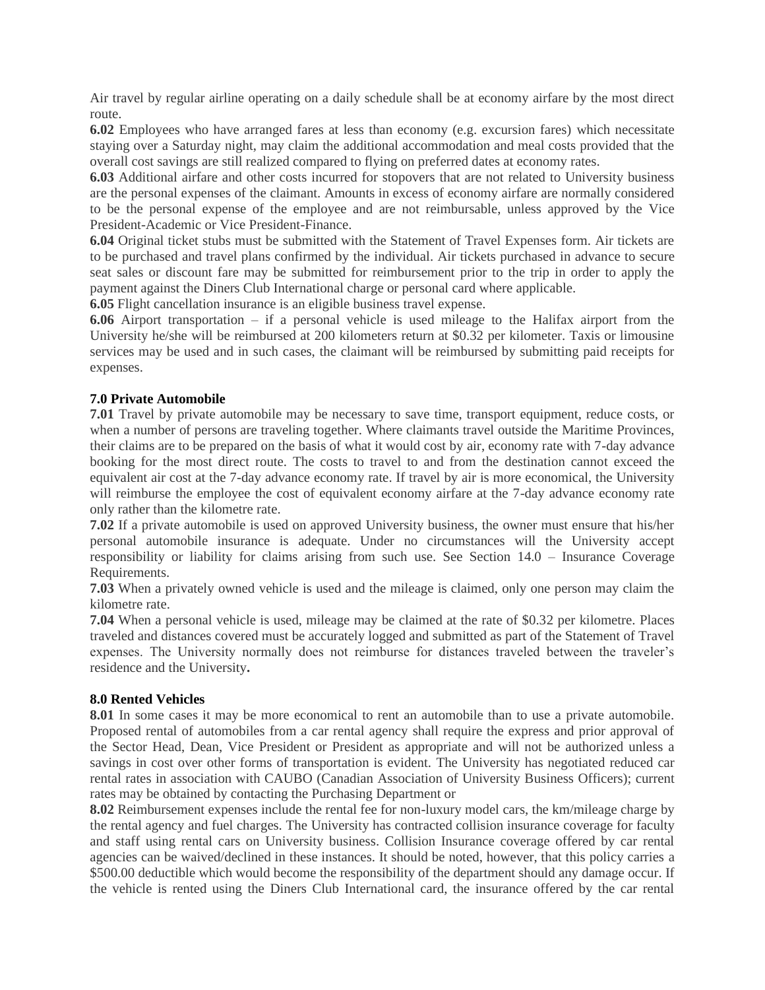Air travel by regular airline operating on a daily schedule shall be at economy airfare by the most direct route.

**6.02** Employees who have arranged fares at less than economy (e.g. excursion fares) which necessitate staying over a Saturday night, may claim the additional accommodation and meal costs provided that the overall cost savings are still realized compared to flying on preferred dates at economy rates.

**6.03** Additional airfare and other costs incurred for stopovers that are not related to University business are the personal expenses of the claimant. Amounts in excess of economy airfare are normally considered to be the personal expense of the employee and are not reimbursable, unless approved by the Vice President-Academic or Vice President-Finance.

**6.04** Original ticket stubs must be submitted with the Statement of Travel Expenses form. Air tickets are to be purchased and travel plans confirmed by the individual. Air tickets purchased in advance to secure seat sales or discount fare may be submitted for reimbursement prior to the trip in order to apply the payment against the Diners Club International charge or personal card where applicable.

**6.05** Flight cancellation insurance is an eligible business travel expense.

**6.06** Airport transportation – if a personal vehicle is used mileage to the Halifax airport from the University he/she will be reimbursed at 200 kilometers return at \$0.32 per kilometer. Taxis or limousine services may be used and in such cases, the claimant will be reimbursed by submitting paid receipts for expenses.

#### **7.0 Private Automobile**

**7.01** Travel by private automobile may be necessary to save time, transport equipment, reduce costs, or when a number of persons are traveling together. Where claimants travel outside the Maritime Provinces, their claims are to be prepared on the basis of what it would cost by air, economy rate with 7-day advance booking for the most direct route. The costs to travel to and from the destination cannot exceed the equivalent air cost at the 7-day advance economy rate. If travel by air is more economical, the University will reimburse the employee the cost of equivalent economy airfare at the 7-day advance economy rate only rather than the kilometre rate.

**7.02** If a private automobile is used on approved University business, the owner must ensure that his/her personal automobile insurance is adequate. Under no circumstances will the University accept responsibility or liability for claims arising from such use. See Section 14.0 – Insurance Coverage Requirements.

**7.03** When a privately owned vehicle is used and the mileage is claimed, only one person may claim the kilometre rate.

**7.04** When a personal vehicle is used, mileage may be claimed at the rate of \$0.32 per kilometre. Places traveled and distances covered must be accurately logged and submitted as part of the Statement of Travel expenses. The University normally does not reimburse for distances traveled between the traveler's residence and the University**.**

#### **8.0 Rented Vehicles**

**8.01** In some cases it may be more economical to rent an automobile than to use a private automobile. Proposed rental of automobiles from a car rental agency shall require the express and prior approval of the Sector Head, Dean, Vice President or President as appropriate and will not be authorized unless a savings in cost over other forms of transportation is evident. The University has negotiated reduced car rental rates in association with CAUBO (Canadian Association of University Business Officers); current rates may be obtained by contacting the Purchasing Department or

**8.02** Reimbursement expenses include the rental fee for non-luxury model cars, the km/mileage charge by the rental agency and fuel charges. The University has contracted collision insurance coverage for faculty and staff using rental cars on University business. Collision Insurance coverage offered by car rental agencies can be waived/declined in these instances. It should be noted, however, that this policy carries a \$500.00 deductible which would become the responsibility of the department should any damage occur. If the vehicle is rented using the Diners Club International card, the insurance offered by the car rental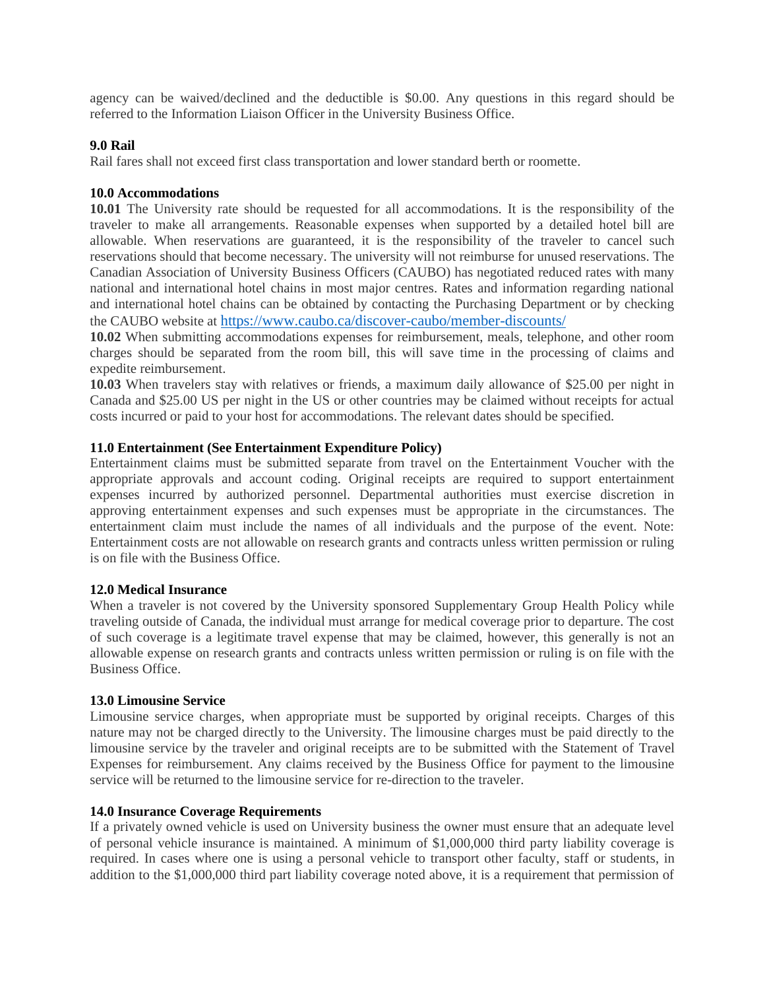agency can be waived/declined and the deductible is \$0.00. Any questions in this regard should be referred to the Information Liaison Officer in the University Business Office.

#### **9.0 Rail**

Rail fares shall not exceed first class transportation and lower standard berth or roomette.

#### **10.0 Accommodations**

**10.01** The University rate should be requested for all accommodations. It is the responsibility of the traveler to make all arrangements. Reasonable expenses when supported by a detailed hotel bill are allowable. When reservations are guaranteed, it is the responsibility of the traveler to cancel such reservations should that become necessary. The university will not reimburse for unused reservations. The Canadian Association of University Business Officers (CAUBO) has negotiated reduced rates with many national and international hotel chains in most major centres. Rates and information regarding national and international hotel chains can be obtained by contacting the Purchasing Department or by checking the CAUBO website at <https://www.caubo.ca/discover-caubo/member-discounts/>

**10.02** When submitting accommodations expenses for reimbursement, meals, telephone, and other room charges should be separated from the room bill, this will save time in the processing of claims and expedite reimbursement.

**10.03** When travelers stay with relatives or friends, a maximum daily allowance of \$25.00 per night in Canada and \$25.00 US per night in the US or other countries may be claimed without receipts for actual costs incurred or paid to your host for accommodations. The relevant dates should be specified.

#### **11.0 Entertainment (See Entertainment Expenditure Policy)**

Entertainment claims must be submitted separate from travel on the Entertainment Voucher with the appropriate approvals and account coding. Original receipts are required to support entertainment expenses incurred by authorized personnel. Departmental authorities must exercise discretion in approving entertainment expenses and such expenses must be appropriate in the circumstances. The entertainment claim must include the names of all individuals and the purpose of the event. Note: Entertainment costs are not allowable on research grants and contracts unless written permission or ruling is on file with the Business Office.

#### **12.0 Medical Insurance**

When a traveler is not covered by the University sponsored Supplementary Group Health Policy while traveling outside of Canada, the individual must arrange for medical coverage prior to departure. The cost of such coverage is a legitimate travel expense that may be claimed, however, this generally is not an allowable expense on research grants and contracts unless written permission or ruling is on file with the Business Office.

#### **13.0 Limousine Service**

Limousine service charges, when appropriate must be supported by original receipts. Charges of this nature may not be charged directly to the University. The limousine charges must be paid directly to the limousine service by the traveler and original receipts are to be submitted with the Statement of Travel Expenses for reimbursement. Any claims received by the Business Office for payment to the limousine service will be returned to the limousine service for re-direction to the traveler.

#### **14.0 Insurance Coverage Requirements**

If a privately owned vehicle is used on University business the owner must ensure that an adequate level of personal vehicle insurance is maintained. A minimum of \$1,000,000 third party liability coverage is required. In cases where one is using a personal vehicle to transport other faculty, staff or students, in addition to the \$1,000,000 third part liability coverage noted above, it is a requirement that permission of